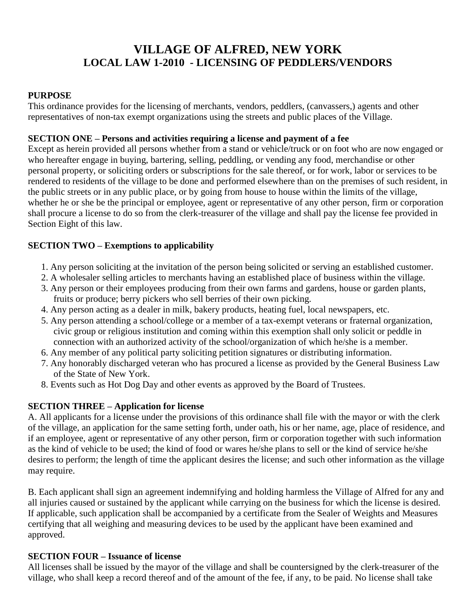# **VILLAGE OF ALFRED, NEW YORK LOCAL LAW 1-2010 - LICENSING OF PEDDLERS/VENDORS**

### **PURPOSE**

This ordinance provides for the licensing of merchants, vendors, peddlers, (canvassers,) agents and other representatives of non-tax exempt organizations using the streets and public places of the Village.<br>SECTION ONE – Persons and activities requiring a license and payment of a fee

Except as herein provided all persons whether from a stand or vehicle/truck or on foot who are now engaged or who hereafter engage in buying, bartering, selling, peddling, or vending any food, merchandise or other personal property, or soliciting orders or subscriptions for the sale thereof, or for work, labor or services to be rendered to residents of the village to be done and performed elsewhere than on the premises of such resident, in the public streets or in any public place, or by going from house to house within the limits of the village, whether he or she be the principal or employee, agent or representative of any other person, firm or corporation shall procure a license to do so from the clerk-treasurer of the village and shall pay the license fee provided in Section Eight of this law.

## **SECTION TWO** – **Exemptions** to applicability

- 1. Any person soliciting at the invitation of the person being solicited or serving an established customer.
- 2. A wholesaler selling articles to merchants having an established place of business within the village.
- 3. Any person or their employees producing from their own farms and gardens, house or garden plants, fruits or produce; berry pickers who sell berries of their own picking.
- 4. Any person acting as a dealer in milk, bakery products, heating fuel, local newspapers, etc.
- 5. Any person attending a school/college or a member of a tax-exempt veterans or fraternal organization, civic group or religious institution and coming within this exemption shall only solicit or peddle in connection with an authorized activity of the school/organization of which he/she is a member.
- 6. Any member of any political party soliciting petition signatures or distributing information.
- 7. Any honorably discharged veteran who has procured a license as provided by the General Business Law of the State of New York.
- 8. Events such as Hot Dog Day and other events as approved by the Board of Trustees. **SECTION THREE <sup>ñ</sup> Application for license**

A. All applicants for a license under the provisions of this ordinance shall file with the mayor or with the clerk of the village, an application for the same setting forth, under oath, his or her name, age, place of residence, and if an employee, agent or representative of any other person, firm or corporation together with such information as the kind of vehicle to be used; the kind of food or wares he/she plans to sellor the kind of service he/she desires to perform; the length of time the applicant desires the license; and such other information as the village may require.

B. Each applicant shall sign an agreement indemnifying and holding harmless the Village of Alfred for any and all injuries caused or sustained by the applicant while carrying on the business for which the license is desired. If applicable, such application shall be accompanied by a certificate from the Sealer of Weights and Measures certifying that all weighing and measuring devices to be used by the applicant have been examined and approved.

### **SECTION FOUR <sup>ñ</sup> Issuance of license**

All licenses shall be issued by the mayor of the village and shall be countersigned by the clerk-treasurer of the village, who shall keep a record thereof and of the amount of the fee, if any, to be paid. No license shall take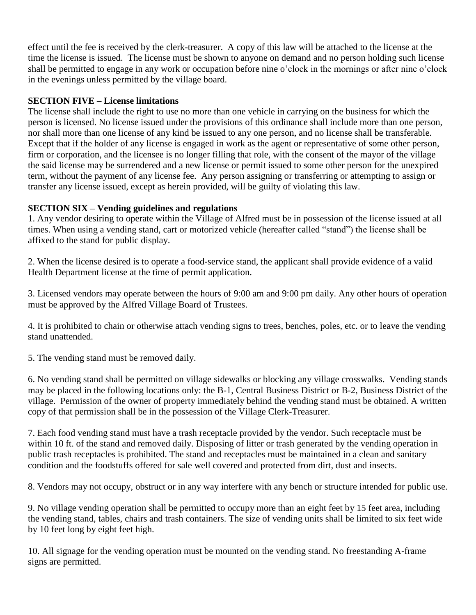effect until the fee is received by the clerk-treasurer. A copy of this law will be attached to the license at the time the license is issued. The license must be shown to anyone on demand and no person holding such license shall be permitted to engage in any work or occupation before nine o'clock in the mornings or after nine o'clock in the evenings unless permitted by the village board.<br>**SECTION FIVE** – **License limitations** 

The license shall include the right to use no more than one vehicle in carrying on the business for which the person is licensed. No license issued under the provisions of this ordinance shall include more than one person, nor shall more than one license of any kind be issued to any one person, and no license shall be transferable. Except that if the holder of any license is engaged in work as the agent or representative of some other person, firm or corporation, and the licensee is no longer filling that role, with the consent of the mayor of the village the said license may be surrendered and a new license or permit issued to some other person for the unexpired term, without the payment of any license fee. Any person assigning or transferring or attempting to assign or transfer any license issued, except as herein provided, will be guilty of violating this law.<br>**SECTION SIX** – **Vending guidelines and regulations** 

1. Any vendor desiring to operate within the Village of Alfred must be in possession of the license issued at all **SECTION SIX – Vending guidelines and regulations**<br>1. Any vendor desiring to operate within the Village of Alfred must be in possession of the license issued a<br>times. When using a vending stand, cart or motorized vehicle ( affixed to the stand for public display.

2. When the license desired is to operate a food-service stand, the applicant shall provide evidence of a valid Health Department license at the time of permit application.

3. Licensed vendors may operate between the hours of 9:00 am and 9:00 pm daily. Any other hours of operation must be approved by the Alfred Village Board of Trustees.

4. It is prohibited to chain or otherwise attach vending signs to trees, benches, poles, etc. or to leave the vending stand unattended.

5. The vending stand must be removed daily.

6. No vending stand shall be permitted on village sidewalks or blocking any village crosswalks. Vending stands may be placed in the following locations only: the B-1, Central Business District or B-2, Business District of the village. Permission of the owner of property immediately behind the vending stand must be obtained. A written copy of that permission shall be in the possession of the Village Clerk-Treasurer.

7. Each food vending stand must have a trash receptacle provided by the vendor. Such receptacle must be within 10 ft. of the stand and removed daily. Disposing of litter or trash generated by the vending operation in public trash receptacles is prohibited. The stand and receptacles must be maintained in a clean and sanitary condition and the foodstuffs offered for sale well covered and protected from dirt, dust and insects.

8. Vendors may not occupy, obstruct or in any way interfere with any bench or structure intended for public use.

9. No village vending operation shall be permitted to occupy more than an eight feet by 15 feet area, including the vending stand, tables, chairs and trash containers. The size of vending units shall be limited to six feet wide by 10 feet long by eight feet high.

10. All signage for the vending operation must be mounted on the vending stand. No freestanding A-frame signs are permitted.